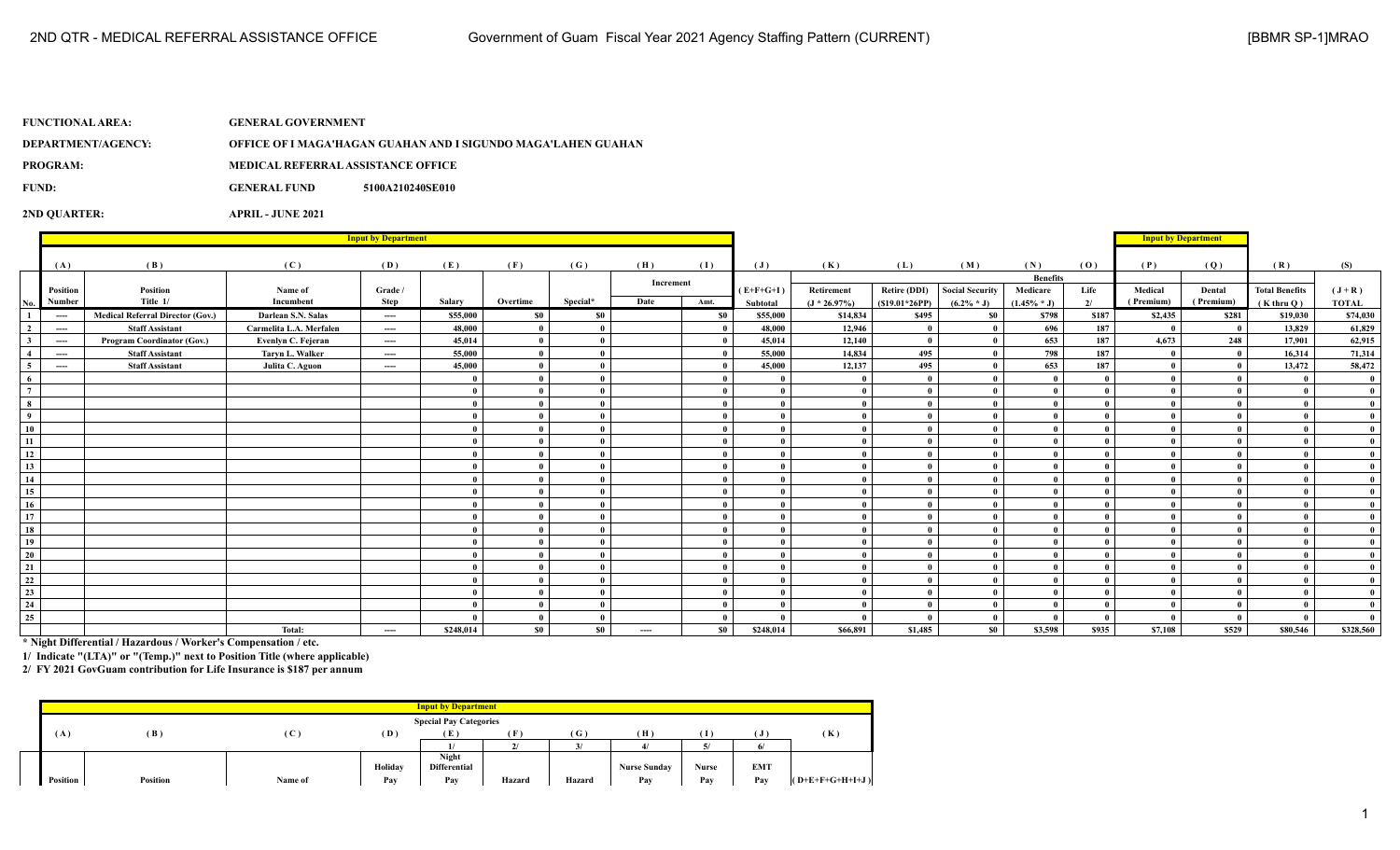| FUNCTIONAL AREA: \ | <b>GENERAL GOVERNMENT</b>                 |                                                               |
|--------------------|-------------------------------------------|---------------------------------------------------------------|
| DEPARTMENT/AGENCY: |                                           | OFFICE OF I MAGA'HAGAN GUAHAN AND I SIGUNDO MAGA'LAHEN GUAHAN |
| <b>PROGRAM:</b>    | <b>MEDICAL REFERRAL ASSISTANCE OFFICE</b> |                                                               |
| FUND:              | <b>GENERAL FUND</b>                       | 5100A210240SE010                                              |
|                    |                                           |                                                               |

**2ND QUARTER: APRIL - JUNE 2021**

|                         | <b>Input by Department</b>               |                                         |                         |          |           |                |           |           |           |                |                 |                 |                 | <b>Input by Department</b> |       |              |              |                       |              |
|-------------------------|------------------------------------------|-----------------------------------------|-------------------------|----------|-----------|----------------|-----------|-----------|-----------|----------------|-----------------|-----------------|-----------------|----------------------------|-------|--------------|--------------|-----------------------|--------------|
|                         |                                          |                                         |                         |          |           |                |           |           |           |                |                 |                 |                 |                            |       |              |              |                       |              |
|                         | (A)                                      | (B)                                     | (C)                     | (D)      | (E)       | (F)            | (G)       | (H)       | (I)       | $(\mathbf{J})$ | (K)             | (L)             | (M)             | (N)                        | (0)   | (P)          | (Q)          | (R)                   | (S)          |
|                         |                                          |                                         |                         |          |           |                |           | Increment |           |                |                 |                 |                 | <b>Benefits</b>            |       |              |              |                       |              |
|                         | Position                                 | Position                                | Name of                 | Grade /  |           |                |           |           |           | $(E+F+G+I)$    | Retirement      | Retire (DDI)    | Social Security | Medicare                   | Life  | Medical      | Dental       | <b>Total Benefits</b> | $(J+R)$      |
| No.                     | Number                                   | Title 1/                                | Incumbent               | Step     | Salary    | Overtime       | Special*  | Date      | Amt.      | Subtotal       | $(J * 26.97\%)$ | $(S19.01*26PP)$ | $(6.2\% * J)$   | $(1.45\% * J)$             | 2/    | (Premium)    | (Premium)    | $(K$ thru $Q)$        | <b>TOTAL</b> |
| -1                      | $\cdots$                                 | <b>Medical Referral Director (Gov.)</b> | Darlean S.N. Salas      | $\cdots$ | \$55,000  | \$0            | \$0       |           | <b>SO</b> | \$55,000       | \$14,834        | \$495           | S <sub>0</sub>  | \$798                      | \$187 | \$2,435      | \$281        | \$19,030              | \$74,030     |
| $\overline{2}$          | $---$                                    | <b>Staff Assistant</b>                  | Carmelita L.A. Merfalen | $---$    | 48,000    |                |           |           |           | 48,000         | 12,946          | - 0             |                 | 696                        | 187   |              | $\mathbf{0}$ | 13,829                | 61,829       |
| $\mathbf{3}$            | $\hspace{0.05cm} \ldots \hspace{0.05cm}$ | Program Coordinator (Gov.)              | Evenlyn C. Fejeran      | ----     | 45,014    | $\theta$       |           |           |           | 45.014         | 12,140          | $\mathbf{0}$    |                 | 653                        | 187   | 4.673        | 248          | 17,901                | 62,915       |
| $\overline{4}$          | $---$                                    | <b>Staff Assistant</b>                  | Tarvn L. Walker         | $\cdots$ | 55,000    | $\theta$       |           |           |           | 55,000         | 14,834          | 495             |                 | 798                        | 187   |              | $\bf{0}$     | 16.314                | 71,314       |
| 5 <sup>5</sup>          | $---$                                    | <b>Staff Assistant</b>                  | Julita C. Aguon         | $---$    | 45,000    | $\theta$       |           |           |           | 45,000         | 12,137          | 495             |                 | 653                        | 187   |              | $\mathbf{0}$ | 13,472                | 58,472       |
| 6<br>$\frac{1}{7}$      |                                          |                                         |                         |          |           |                |           |           |           | $\mathbf{0}$   |                 | $\mathbf{u}$    |                 | $\mathbf{0}$               |       | $\theta$     |              |                       |              |
|                         |                                          |                                         |                         |          |           |                |           |           |           | $\theta$       |                 |                 |                 | $\mathbf{0}$               |       |              |              |                       |              |
| $\overline{\mathbf{8}}$ |                                          |                                         |                         |          |           |                |           |           |           | $\theta$       |                 |                 |                 |                            |       |              |              |                       |              |
| $\overline{9}$          |                                          |                                         |                         |          |           |                |           |           |           | $\theta$       | $\theta$        | $\mathbf{a}$    |                 | $\mathbf{0}$               |       | $\mathbf{0}$ |              |                       |              |
| 10                      |                                          |                                         |                         |          |           |                |           |           |           | $\theta$       | $\mathbf{0}$    | $\mathbf{a}$    |                 | $\theta$                   |       |              |              |                       |              |
| 11                      |                                          |                                         |                         |          |           |                |           |           |           | $\theta$       | $\theta$        |                 |                 |                            |       |              |              |                       |              |
| 12                      |                                          |                                         |                         |          |           |                |           |           |           | $\theta$       | $\mathbf{0}$    |                 |                 | $\mathbf{0}$               |       |              |              |                       |              |
| 13                      |                                          |                                         |                         |          |           |                |           |           |           | $\theta$       | $\theta$        |                 |                 |                            |       |              |              |                       |              |
| 14                      |                                          |                                         |                         |          |           |                |           |           |           | $\theta$       | $\theta$        | $\mathbf{0}$    |                 | $\mathbf{0}$               |       |              |              |                       |              |
| 15                      |                                          |                                         |                         |          |           |                |           |           |           | $\theta$       | $\mathbf{0}$    | $\mathbf{u}$    |                 | $\mathbf{0}$               |       |              |              |                       |              |
| 16                      |                                          |                                         |                         |          |           |                |           |           |           | $\theta$       | $\theta$        |                 |                 | $\mathbf{a}$               |       |              |              |                       |              |
| 17                      |                                          |                                         |                         |          |           |                |           |           |           | $\theta$       | $\mathbf{0}$    | $\mathbf{a}$    |                 | $\mathbf{0}$               |       | $\theta$     |              |                       |              |
| 18                      |                                          |                                         |                         |          |           |                |           |           |           | $\theta$       |                 | $\theta$        |                 | $\mathbf{0}$               |       |              |              |                       |              |
| 19                      |                                          |                                         |                         |          |           |                |           |           |           | $\theta$       |                 |                 |                 | $\mathbf{a}$               |       |              |              |                       |              |
| 20                      |                                          |                                         |                         |          |           |                |           |           |           | $\theta$       |                 | $\mathbf{a}$    |                 | $\theta$                   |       |              |              |                       |              |
| 21                      |                                          |                                         |                         |          |           |                |           |           |           |                |                 |                 |                 |                            |       |              |              |                       |              |
| 22                      |                                          |                                         |                         |          |           |                |           |           |           | $\theta$       | $\theta$        |                 |                 | $\mathbf{a}$               |       |              |              |                       |              |
| 23                      |                                          |                                         |                         |          |           |                |           |           |           | $\theta$       | $\mathbf{0}$    |                 |                 | $\theta$                   |       |              |              |                       |              |
| 24                      |                                          |                                         |                         |          |           |                |           |           |           | $\theta$       | $\theta$        |                 |                 |                            |       |              |              |                       |              |
| 25                      |                                          |                                         |                         |          |           |                |           |           |           |                | - 0             | $\theta$        |                 | $\theta$                   |       |              |              |                       |              |
|                         |                                          |                                         | Total:                  | ----     | \$248,014 | S <sub>0</sub> | <b>SO</b> | ----      | SO.       | \$248.014      | \$66,891        | \$1,485         | S <sub>0</sub>  | \$3,598                    | \$935 | \$7,108      | \$529        | \$80,546              | \$328,560    |

**\* Night Differential / Hazardous / Worker's Compensation / etc.**

**1/ Indicate "(LTA)" or "(Temp.)" next to Position Title (where applicable)**

**2/ FY 2021 GovGuam contribution for Life Insurance is \$187 per annum**

|                               |                 |         |         | <b>Input by Department</b> |        |              |                     |       |            |                   |  |
|-------------------------------|-----------------|---------|---------|----------------------------|--------|--------------|---------------------|-------|------------|-------------------|--|
| <b>Special Pay Categories</b> |                 |         |         |                            |        |              |                     |       |            |                   |  |
| (A)                           | (B)             | (C      | (D)     | - 12                       | Œ.     | (G)          | (H)                 | Т     |            | (K)               |  |
|                               |                 |         |         |                            |        | $\mathbf{z}$ |                     |       | 6          |                   |  |
|                               |                 |         |         | Night                      |        |              |                     |       |            |                   |  |
|                               |                 |         | Holiday | <b>Differential</b>        |        |              | <b>Nurse Sunday</b> | Nurse | <b>EMT</b> |                   |  |
| <b>Position</b>               | <b>Position</b> | Name of | Pay     | Pay                        | Hazard | Hazard       | Pay                 | Pay   | Pay        | $(O+E+F+G+H+I+J)$ |  |